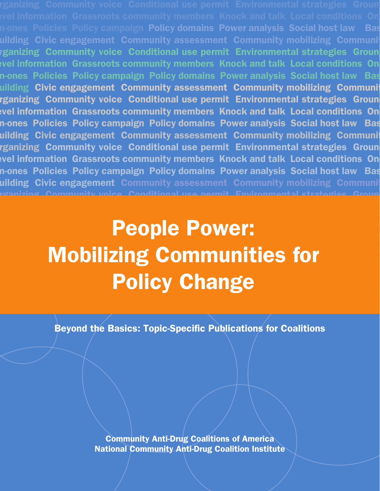n-ones Policies Policy campaign P<mark>olicy domains Power analysis Social host law Ba</mark>s uilding Civic engagement Community assessment Community mobilizing Communit rganizing Community voice Conditional use permit Environmental strategies Groun **Prims information Grassroots community members Knock and talk Local conditions One**n-ones Policies Policy campaign Policy domains Power analysis Social host law Bas uilding Civic engagement Community assessment Community mobilizing Communit rganizing Community voice Conditional use permit Environmental strategies Groun **Prims information Grassroots community members Knock and talk Local conditions One**n-ones Policies Policy campaign Policy domains Power analysis Social host law Bas uilding Civic engagement Community assessment Community mobilizing Communit rganizing Community voice Conditional use permit Environmental strategies Groun **Potat information Grassroots community members Knock and talk Local conditions On** n-ones Policies Policy campaign Policy domains Power analysis Social host law Bas uilding Civic engagement Community assessment Community mobilizing Communit roanizing Community voice Conditional use nermit Environmental strategies Groun.<br>-

# on-ones Policies Policy campaign Policy domains Power analysis Social host law Base building Civic engagement Community assessment Community assessment Community mobilizing Community Community Co organizing Community voice Conditional use permit Environmental strategies Groundlevel information Grassroots community members Knock and talk Local conditions One-**Communities for Policies Policy domains Policy Analysis Social host law Engineeries** Policy Change

Beyond the Basics: Topic-Specific Publications for Coalitions

Community Anti-Drug Coalitions of America National Community Anti-Drug Coalition Institute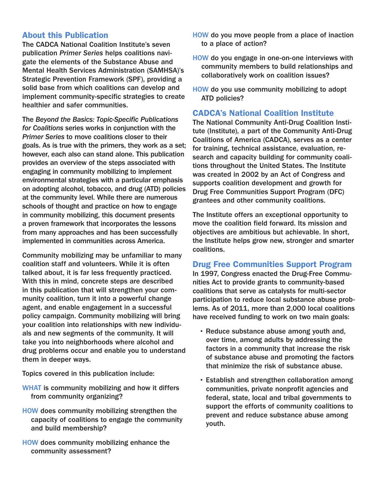# About this Publication

The CADCA National Coalition Institute's seven publication *Primer Series* helps coalitions navigate the elements of the Substance Abuse and Mental Health Services Administration (SAMHSA)'s Strategic Prevention Framework (SPF), providing a solid base from which coalitions can develop and implement community-specific strategies to create healthier and safer communities.

The *Beyond the Basics: Topic-Specific Publications for Coalitions* series works in conjunction with the *Primer Series* to move coalitions closer to their goals. As is true with the primers, they work as a set; however, each also can stand alone. This publication provides an overview of the steps associated with engaging in community mobilizing to implement environmental strategies with a particular emphasis on adopting alcohol, tobacco, and drug (ATD) policies at the community level. While there are numerous schools of thought and practice on how to engage in community mobilizing, this document presents a proven framework that incorporates the lessons from many approaches and has been successfully implemented in communities across America.

Community mobilizing may be unfamiliar to many coalition staff and volunteers. While it is often talked about, it is far less frequently practiced. With this in mind, concrete steps are described in this publication that will strengthen your community coalition, turn it into a powerful change agent, and enable engagement in a successful policy campaign. Community mobilizing will bring your coalition into relationships with new individuals and new segments of the community. It will take you into neighborhoods where alcohol and drug problems occur and enable you to understand them in deeper ways.

Topics covered in this publication include:

- WHAT is community mobilizing and how it differs from community organizing?
- HOW does community mobilizing strengthen the capacity of coalitions to engage the community and build membership?
- HOW does community mobilizing enhance the community assessment?
- HOW do you move people from a place of inaction to a place of action?
- HOW do you engage in one-on-one interviews with community members to build relationships and collaboratively work on coalition issues?
- HOW do you use community mobilizing to adopt ATD policies?

# CADCA's National Coalition Institute

The National Community Anti-Drug Coalition Institute (Institute), a part of the Community Anti-Drug Coalitions of America (CADCA), serves as a center for training, technical assistance, evaluation, research and capacity building for community coalitions throughout the United States. The Institute was created in 2002 by an Act of Congress and supports coalition development and growth for Drug Free Communities Support Program (DFC) grantees and other community coalitions.

The Institute offers an exceptional opportunity to move the coalition field forward. Its mission and objectives are ambitious but achievable. In short, the Institute helps grow new, stronger and smarter coalitions.

### Drug Free Communities Support Program

In 1997, Congress enacted the Drug-Free Communities Act to provide grants to community-based coalitions that serve as catalysts for multi-sector participation to reduce local substance abuse problems. As of 2011, more than 2,000 local coalitions have received funding to work on two main goals:

- Reduce substance abuse among youth and, over time, among adults by addressing the factors in a community that increase the risk of substance abuse and promoting the factors that minimize the risk of substance abuse.
- Establish and strengthen collaboration among communities, private nonprofit agencies and federal, state, local and tribal governments to support the efforts of community coalitions to prevent and reduce substance abuse among youth.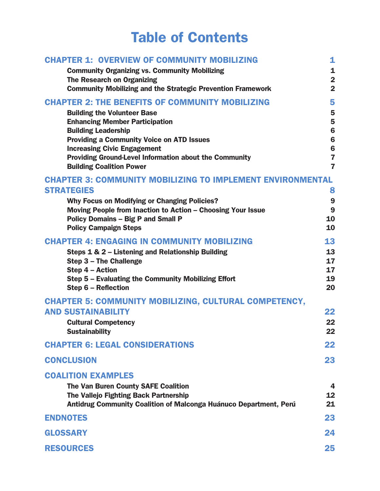# Table of Contents

| <b>CHAPTER 1: OVERVIEW OF COMMUNITY MOBILIZING</b>                                                       | 1                       |
|----------------------------------------------------------------------------------------------------------|-------------------------|
| <b>Community Organizing vs. Community Mobilizing</b>                                                     | 1                       |
| <b>The Research on Organizing</b>                                                                        | $\overline{2}$          |
| <b>Community Mobilizing and the Strategic Prevention Framework</b>                                       | $\overline{2}$          |
| <b>CHAPTER 2: THE BENEFITS OF COMMUNITY MOBILIZING</b>                                                   | 5                       |
| <b>Building the Volunteer Base</b>                                                                       | 5                       |
| <b>Enhancing Member Participation</b>                                                                    | 5<br>6                  |
| <b>Building Leadership</b><br><b>Providing a Community Voice on ATD Issues</b>                           | $6\phantom{1}6$         |
| <b>Increasing Civic Engagement</b>                                                                       | $6\phantom{1}6$         |
| <b>Providing Ground-Level Information about the Community</b>                                            | $\overline{\mathbf{z}}$ |
| <b>Building Coalition Power</b>                                                                          | $\overline{7}$          |
| <b>CHAPTER 3: COMMUNITY MOBILIZING TO IMPLEMENT ENVIRONMENTAL</b>                                        |                         |
| <b>STRATEGIES</b>                                                                                        | 8                       |
| <b>Why Focus on Modifying or Changing Policies?</b>                                                      | 9                       |
| Moving People from Inaction to Action - Choosing Your Issue<br><b>Policy Domains - Big P and Small P</b> | 9<br>10                 |
| <b>Policy Campaign Steps</b>                                                                             | 10                      |
| <b>CHAPTER 4: ENGAGING IN COMMUNITY MOBILIZING</b>                                                       | 13                      |
| Steps 1 & 2 - Listening and Relationship Building                                                        | 13                      |
| Step 3 - The Challenge                                                                                   | 17                      |
| Step 4 - Action                                                                                          | 17<br>19                |
| Step 5 - Evaluating the Community Mobilizing Effort<br>Step 6 - Reflection                               | 20                      |
| <b>CHAPTER 5: COMMUNITY MOBILIZING, CULTURAL COMPETENCY,</b>                                             |                         |
| <b>AND SUSTAINABILITY</b>                                                                                | 22                      |
| <b>Cultural Competency</b>                                                                               | 22                      |
| <b>Sustainability</b>                                                                                    | 22                      |
| <b>CHAPTER 6: LEGAL CONSIDERATIONS</b>                                                                   | 22                      |
| <b>CONCLUSION</b>                                                                                        | 23                      |
| <b>COALITION EXAMPLES</b>                                                                                |                         |
| <b>The Van Buren County SAFE Coalition</b>                                                               | $\boldsymbol{4}$        |
| <b>The Vallejo Fighting Back Partnership</b>                                                             | 12                      |
| Antidrug Community Coalition of Malconga Huánuco Department, Perú                                        | 21                      |
| <b>ENDNOTES</b>                                                                                          | 23                      |
| <b>GLOSSARY</b>                                                                                          | 24                      |
| <b>RESOURCES</b>                                                                                         | 25                      |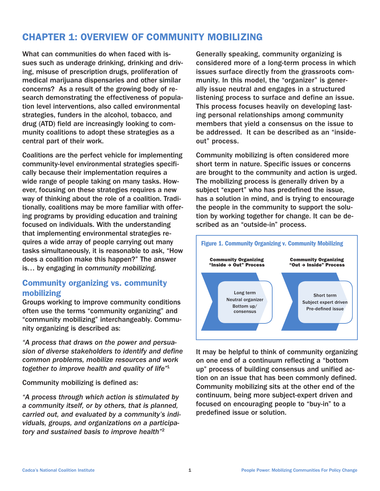# CHAPTER 1: OVERVIEW OF COMMUNITY MOBILIZING

What can communities do when faced with issues such as underage drinking, drinking and driving, misuse of prescription drugs, proliferation of medical marijuana dispensaries and other similar concerns? As a result of the growing body of research demonstrating the effectiveness of population level interventions, also called environmental strategies, funders in the alcohol, tobacco, and drug (ATD) field are increasingly looking to community coalitions to adopt these strategies as a central part of their work.

Coalitions are the perfect vehicle for implementing community-level environmental strategies specifically because their implementation requires a wide range of people taking on many tasks. However, focusing on these strategies requires a new way of thinking about the role of a coalition. Traditionally, coalitions may be more familiar with offering programs by providing education and training focused on individuals. With the understanding that implementing environmental strategies requires a wide array of people carrying out many tasks simultaneously, it is reasonable to ask, "How does a coalition make this happen?" The answer is… by engaging in *community mobilizing.*

# Community organizing vs. community mobilizing

Groups working to improve community conditions often use the terms "community organizing" and "community mobilizing" interchangeably. Community organizing is described as:

*"A process that draws on the power and persuasion of diverse stakeholders to identify and define common problems, mobilize resources and work together to improve health and quality of life"*<sup>1</sup>

Community mobilizing is defined as:

*"A process through which action is stimulated by a community itself, or by others, that is planned, carried out, and evaluated by a community's individuals, groups, and organizations on a participatory and sustained basis to improve health"*<sup>2</sup>

Generally speaking, community organizing is considered more of a long-term process in which issues surface directly from the grassroots community. In this model, the "organizer" is generally issue neutral and engages in a structured listening process to surface and define an issue. This process focuses heavily on developing lasting personal relationships among community members that yield a consensus on the issue to be addressed. It can be described as an "insideout" process.

Community mobilizing is often considered more short term in nature. Specific issues or concerns are brought to the community and action is urged. The mobilizing process is generally driven by a subject "expert" who has predefined the issue, has a solution in mind, and is trying to encourage the people in the community to support the solution by working together for change. It can be described as an "outside-in" process.



It may be helpful to think of community organizing on one end of a continuum reflecting a "bottom up" process of building consensus and unified action on an issue that has been commonly defined. Community mobilizing sits at the other end of the continuum, being more subject-expert driven and focused on encouraging people to "buy-in" to a predefined issue or solution.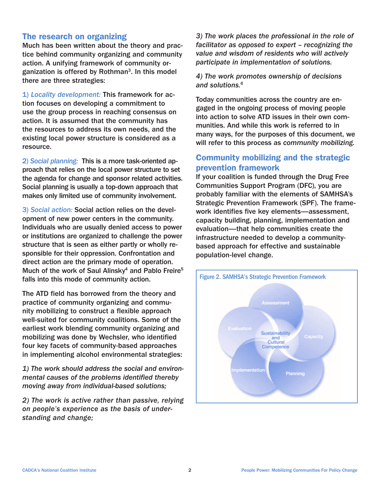### The research on organizing

Much has been written about the theory and practice behind community organizing and community action. A unifying framework of community organization is offered by Rothman $3$ . In this model there are three strategies:

1) *Locality development:* This framework for action focuses on developing a commitment to use the group process in reaching consensus on action. It is assumed that the community has the resources to address its own needs, and the existing local power structure is considered as a resource.

2) *Social planning:* This is a more task-oriented approach that relies on the local power structure to set the agenda for change and sponsor related activities. Social planning is usually a top-down approach that makes only limited use of community involvement.

3) *Social action:* Social action relies on the development of new power centers in the community. Individuals who are usually denied access to power or institutions are organized to challenge the power structure that is seen as either partly or wholly responsible for their oppression. Confrontation and direct action are the primary mode of operation. Much of the work of Saul Alinsky<sup>4</sup> and Pablo Freire<sup>5</sup> falls into this mode of community action.

The ATD field has borrowed from the theory and practice of community organizing and community mobilizing to construct a flexible approach well-suited for community coalitions. Some of the earliest work blending community organizing and mobilizing was done by Wechsler, who identified four key facets of community-based approaches in implementing alcohol environmental strategies:

*1) The work should address the social and environmental causes of the problems identified thereby moving away from individual-based solutions;*

*2) The work is active rather than passive, relying on people's experience as the basis of understanding and change;*

*3) The work places the professional in the role of facilitator as opposed to expert – recognizing the value and wisdom of residents who will actively participate in implementation of solutions.*

*4) The work promotes ownership of decisions and solutions.6*

Today communities across the country are engaged in the ongoing process of moving people into action to solve ATD issues in their own communities. And while this work is referred to in many ways, for the purposes of this document, we will refer to this process as *community mobilizing.*

### Community mobilizing and the strategic prevention framework

If your coalition is funded through the Drug Free Communities Support Program (DFC), you are probably familiar with the elements of SAMHSA's Strategic Prevention Framework (SPF). The framework identifies five key elements—assessment, capacity building, planning, implementation and evaluation—that help communities create the infrastructure needed to develop a communitybased approach for effective and sustainable population-level change.

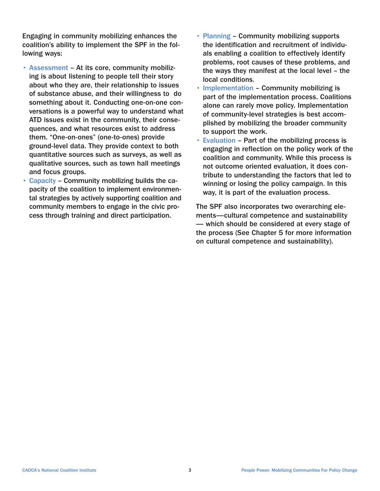Engaging in community mobilizing enhances the coalition's ability to implement the SPF in the following ways:

- Assessment At its core, community mobilizing is about listening to people tell their story about who they are, their relationship to issues of substance abuse, and their willingness to do something about it. Conducting one-on-one conversations is a powerful way to understand what ATD issues exist in the community, their consequences, and what resources exist to address them. "One-on-ones" (one-to-ones) provide ground-level data. They provide context to both quantitative sources such as surveys, as well as qualitative sources, such as town hall meetings and focus groups.
- Capacity Community mobilizing builds the capacity of the coalition to implement environmental strategies by actively supporting coalition and community members to engage in the civic process through training and direct participation.
- Planning Community mobilizing supports the identification and recruitment of individuals enabling a coalition to effectively identify problems, root causes of these problems, and the ways they manifest at the local level – the local conditions.
- Implementation Community mobilizing is part of the implementation process. Coalitions alone can rarely move policy. Implementation of community-level strategies is best accomplished by mobilizing the broader community to support the work.
- Evaluation Part of the mobilizing process is engaging in reflection on the policy work of the coalition and community. While this process is not outcome oriented evaluation, it does contribute to understanding the factors that led to winning or losing the policy campaign. In this way, it is part of the evaluation process.

The SPF also incorporates two overarching elements—cultural competence and sustainability — which should be considered at every stage of the process (See Chapter 5 for more information on cultural competence and sustainability).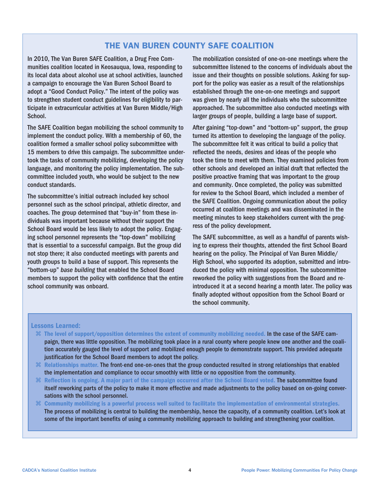## THE VAN BUREN COUNTY SAFE COALITION

In 2010, The Van Buren SAFE Coalition, a Drug Free Communities coalition located in Keosauqua, Iowa, responding to its local data about alcohol use at school activities, launched a campaign to encourage the Van Buren School Board to adopt a "Good Conduct Policy." The intent of the policy was to strengthen student conduct guidelines for eligibility to participate in extracurricular activities at Van Buren Middle/High School.

The SAFE Coalition began mobilizing the school community to implement the conduct policy. With a membership of 60, the coalition formed a smaller school policy subcommittee with 15 members to drive this campaign. The subcommittee undertook the tasks of community mobilizing, developing the policy language, and monitoring the policy implementation. The subcommittee included youth, who would be subject to the new conduct standards.

The subcommittee's initial outreach included key school personnel such as the school principal, athletic director, and coaches. The group determined that "buy-in" from these individuals was important because without their support the School Board would be less likely to adopt the policy. Engaging school personnel represents the "top-down" mobilizing that is essential to a successful campaign. But the group did not stop there; it also conducted meetings with parents and youth groups to build a base of support. This represents the "bottom-up" *base building* that enabled the School Board members to support the policy with confidence that the entire school community was onboard.

The mobilization consisted of one-on-one meetings where the subcommittee listened to the concerns of individuals about the issue and their thoughts on possible solutions. Asking for support for the policy was easier as a result of the relationships established through the one-on-one meetings and support was given by nearly all the individuals who the subcommittee approached. The subcommittee also conducted meetings with larger groups of people, building a large base of support.

After gaining "top-down" and "bottom-up" support, the group turned its attention to developing the language of the policy. The subcommittee felt it was critical to build a policy that reflected the needs, desires and ideas of the people who took the time to meet with them. They examined policies from other schools and developed an initial draft that reflected the positive proactive framing that was important to the group and community. Once completed, the policy was submitted for review to the School Board, which included a member of the SAFE Coalition. Ongoing communication about the policy occurred at coalition meetings and was disseminated in the meeting minutes to keep stakeholders current with the progress of the policy development.

The SAFE subcommittee, as well as a handful of parents wishing to express their thoughts, attended the first School Board hearing on the policy. The Principal of Van Buren Middle/ High School, who supported its adoption, submitted and introduced the policy with minimal opposition. The subcommittee reworked the policy with suggestions from the Board and reintroduced it at a second hearing a month later. The policy was finally adopted without opposition from the School Board or the school community.

#### Lessons Learned:

- The level of support/opposition determines the extent of community mobilizing needed. In the case of the SAFE campaign, there was little opposition. The mobilizing took place in a rural county where people knew one another and the coalition accurately gauged the level of support and mobilized enough people to demonstrate support. This provided adequate justification for the School Board members to adopt the policy.
- $\Re$  Relationships matter. The front-end one-on-ones that the group conducted resulted in strong relationships that enabled the implementation and compliance to occur smoothly with little or no opposition from the community.
- Reflection is ongoing. A major part of the campaign occurred after the School Board voted. The subcommittee found itself reworking parts of the policy to make it more effective and made adjustments to the policy based on on-going conversations with the school personnel.
- Community mobilizing is a powerful process well suited to facilitate the implementation of environmental strategies. The process of mobilizing is central to building the membership, hence the capacity, of a community coalition. Let's look at some of the important benefits of using a community mobilizing approach to building and strengthening your coalition.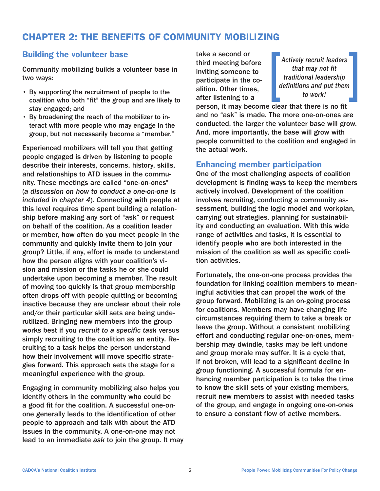# CHAPTER 2: THE BENEFITS OF COMMUNITY MOBILIZING

### Building the volunteer base

Community mobilizing builds a volunteer base in two ways:

- By supporting the recruitment of people to the coalition who both "fit" the group and are likely to stay engaged; and
- By broadening the reach of the mobilizer to interact with more people who may engage in the group, but not necessarily become a "member."

Experienced mobilizers will tell you that getting people engaged is driven by listening to people describe their interests, concerns, history, skills, and relationships to ATD issues in the community. These meetings are called "one-on-ones" (*a discussion on how to conduct a one-on-one is included in chapter 4*). Connecting with people at this level requires time spent building a relationship before making any sort of "ask" or request on behalf of the coalition. As a coalition leader or member, how often do you meet people in the community and quickly invite them to join your group? Little, if any, effort is made to understand how the person aligns with your coalition's vision and mission or the tasks he or she could undertake upon becoming a member. The result of moving too quickly is that group membership often drops off with people quitting or becoming inactive because they are unclear about their role and/or their particular skill sets are being underutilized. Bringing new members into the group works best if you *recruit to a specific task* versus simply recruiting to the coalition as an entity. Recruiting to a task helps the person understand how their involvement will move specific strategies forward. This approach sets the stage for a meaningful experience with the group.

Engaging in community mobilizing also helps you identify others in the community who could be a good fit for the coalition. A successful one-onone generally leads to the identification of other people to approach and talk with about the ATD issues in the community. A one-on-one may not lead to an immediate *ask* to join the group. It may take a second or third meeting before inviting someone to participate in the coalition. Other times, after listening to a

*Actively recruit leaders that may not fit traditional leadership definitions and put them to work!*

person, it may become clear that there is no fit and no "ask" is made. The more one-on-ones are conducted, the larger the volunteer base will grow. And, more importantly, the base will grow with people committed to the coalition and engaged in the actual work.

### Enhancing member participation

One of the most challenging aspects of coalition development is finding ways to keep the members actively involved. Development of the coalition involves recruiting, conducting a community assessment, building the logic model and workplan, carrying out strategies, planning for sustainability and conducting an evaluation. With this wide range of activities and tasks, it is essential to identify people who are both interested in the mission of the coalition as well as specific coalition activities.

Fortunately, the one-on-one process provides the foundation for linking coalition members to meaningful activities that can propel the work of the group forward. Mobilizing is an on-going process for coalitions. Members may have changing life circumstances requiring them to take a break or leave the group. Without a consistent mobilizing effort and conducting regular one-on-ones, membership may dwindle, tasks may be left undone and group morale may suffer. It is a cycle that, if not broken, will lead to a significant decline in group functioning. A successful formula for enhancing member participation is to take the time to know the skill sets of your existing members, recruit new members to assist with needed tasks of the group, and engage in ongoing one-on-ones to ensure a constant flow of active members.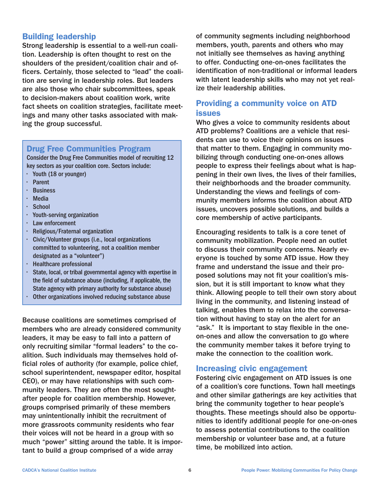# Building leadership

Strong leadership is essential to a well-run coalition. Leadership is often thought to rest on the shoulders of the president/coalition chair and officers. Certainly, those selected to "lead" the coalition are serving in leadership roles. But leaders are also those who chair subcommittees, speak to decision-makers about coalition work, write fact sheets on coalition strategies, facilitate meetings and many other tasks associated with making the group successful.

### Drug Free Communities Program

Consider the Drug Free Communities model of recruiting 12 key sectors as your coalition core. Sectors include:

- • Youth (18 or younger)
- • Parent
- • Business
- • Media
- • School
- • Youth-serving organization
- • Law enforcement
- • Religious/Fraternal organization
- • Civic/Volunteer groups (i.e., local organizations committed to volunteering, not a coalition member designated as a "volunteer")
- • Healthcare professional
- • State, local, or tribal governmental agency with expertise in the field of substance abuse (including, if applicable, the State agency with primary authority for substance abuse)
- • Other organizations involved reducing substance abuse

Because coalitions are sometimes comprised of members who are already considered community leaders, it may be easy to fall into a pattern of only recruiting similar "formal leaders" to the coalition. Such individuals may themselves hold official roles of authority (for example, police chief, school superintendent, newspaper editor, hospital CEO), or may have relationships with such community leaders. They are often the most soughtafter people for coalition membership. However, groups comprised primarily of these members may unintentionally inhibit the recruitment of more grassroots community residents who fear their voices will not be heard in a group with so much "power" sitting around the table. It is important to build a group comprised of a wide array

of community segments including neighborhood members, youth, parents and others who may not initially see themselves as having anything to offer. Conducting one-on-ones facilitates the identification of non-traditional or informal leaders with latent leadership skills who may not yet realize their leadership abilities.

# Providing a community voice on ATD issues

Who gives a voice to community residents about ATD problems? Coalitions are a vehicle that residents can use to voice their opinions on issues that matter to them. Engaging in community mobilizing through conducting one-on-ones allows people to express their feelings about what is happening in their own lives, the lives of their families, their neighborhoods and the broader community. Understanding the views and feelings of community members informs the coalition about ATD issues, uncovers possible solutions, and builds a core membership of active participants.

Encouraging residents to talk is a core tenet of community mobilization. People need an outlet to discuss their community concerns. Nearly everyone is touched by some ATD issue. How they frame and understand the issue and their proposed solutions may not fit your coalition's mission, but it is still important to know what they think. Allowing people to tell their own story about living in the community, and listening instead of talking, enables them to relax into the conversation without having to stay on the alert for an "ask." It is important to stay flexible in the oneon-ones and allow the conversation to go where the community member takes it before trying to make the connection to the coalition work.

### Increasing civic engagement

Fostering civic engagement on ATD issues is one of a coalition's core functions. Town hall meetings and other similar gatherings are key activities that bring the community together to hear people's thoughts. These meetings should also be opportunities to identify additional people for one-on-ones to assess potential contributions to the coalition membership or volunteer base and, at a future time, be mobilized into action.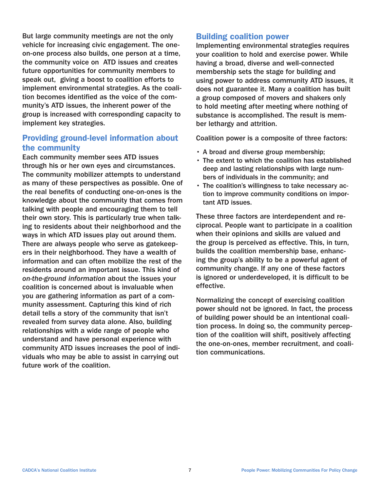But large community meetings are not the only vehicle for increasing civic engagement. The oneon-one process also builds, one person at a time, the community voice on ATD issues and creates future opportunities for community members to speak out, giving a boost to coalition efforts to implement environmental strategies. As the coalition becomes identified as the voice of the community's ATD issues, the inherent power of the group is increased with corresponding capacity to implement key strategies.

### Providing ground-level information about the community

Each community member sees ATD issues through his or her own eyes and circumstances. The community mobilizer attempts to understand as many of these perspectives as possible. One of the real benefits of conducting one-on-ones is the knowledge about the community that comes from talking with people and encouraging them to tell their own story. This is particularly true when talking to residents about their neighborhood and the ways in which ATD issues play out around them. There are always people who serve as gatekeepers in their neighborhood. They have a wealth of information and can often mobilize the rest of the residents around an important issue. This kind of *on-the-ground information* about the issues your coalition is concerned about is invaluable when you are gathering information as part of a community assessment. Capturing this kind of rich detail tells a story of the community that isn't revealed from survey data alone. Also, building relationships with a wide range of people who understand and have personal experience with community ATD issues increases the pool of individuals who may be able to assist in carrying out future work of the coalition.

### Building coalition power

Implementing environmental strategies requires your coalition to hold and exercise power. While having a broad, diverse and well-connected membership sets the stage for building and using power to address community ATD issues, it does not guarantee it. Many a coalition has built a group composed of movers and shakers only to hold meeting after meeting where nothing of substance is accomplished. The result is member lethargy and attrition.

Coalition power is a composite of three factors:

- A broad and diverse group membership;
- The extent to which the coalition has established deep and lasting relationships with large numbers of individuals in the community; and
- The coalition's willingness to take necessary action to improve community conditions on important ATD issues.

These three factors are interdependent and reciprocal. People want to participate in a coalition when their opinions and skills are valued and the group is perceived as effective. This, in turn, builds the coalition membership base, enhancing the group's ability to be a powerful agent of community change. If any one of these factors is ignored or underdeveloped, it is difficult to be effective.

Normalizing the concept of exercising coalition power should not be ignored. In fact, the process of building power should be an intentional coalition process. In doing so, the community perception of the coalition will shift, positively affecting the one-on-ones, member recruitment, and coalition communications.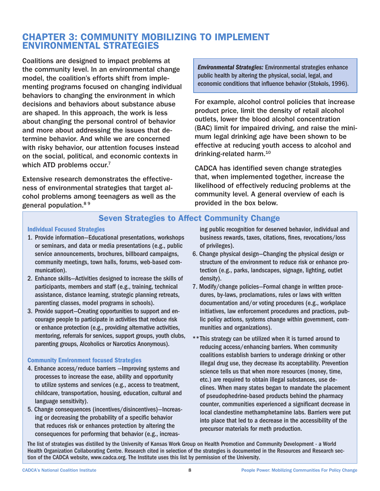# CHAPTER 3: COMMUNITY MOBILIZING TO IMPLEMENT ENVIRONMENTAL STRATEGIES

Coalitions are designed to impact problems at the community level. In an environmental change model, the coalition's efforts shift from implementing programs focused on changing individual behaviors to changing the environment in which decisions and behaviors about substance abuse are shaped. In this approach, the work is less about changing the personal control of behavior and more about addressing the issues that determine behavior. And while we are concerned with risky behavior, our attention focuses instead on the social, political, and economic contexts in which ATD problems occur.<sup>7</sup>

Extensive research demonstrates the effectiveness of environmental strategies that target alcohol problems among teenagers as well as the general population.8 9

*Environmental Strategies:* Environmental strategies enhance public health by altering the physical, social, legal, and economic conditions that influence behavior (Stokols, 1996).

For example, alcohol control policies that increase product price, limit the density of retail alcohol outlets, lower the blood alcohol concentration (BAC) limit for impaired driving, and raise the minimum legal drinking age have been shown to be effective at reducing youth access to alcohol and drinking-related harm.<sup>10</sup>

CADCA has identified seven change strategies that, when implemented together, increase the likelihood of effectively reducing problems at the community level. A general overview of each is provided in the box below.

# Seven Strategies to Affect Community Change

#### Individual Focused Strategies

- 1. Provide information—Educational presentations, workshops or seminars, and data or media presentations (e.g., public service announcements, brochures, billboard campaigns, community meetings, town halls, forums, web-based communication).
- 2. Enhance skills—Activities designed to increase the skills of participants, members and staff (e.g., training, technical assistance, distance learning, strategic planning retreats, parenting classes, model programs in schools).
- 3. Provide support—Creating opportunities to support and encourage people to participate in activities that reduce risk or enhance protection (e.g., providing alternative activities, mentoring, referrals for services, support groups, youth clubs, parenting groups, Alcoholics or Narcotics Anonymous).

#### Community Environment focused Strategies

- 4. Enhance access/reduce barriers —Improving systems and processes to increase the ease, ability and opportunity to utilize systems and services (e.g., access to treatment, childcare, transportation, housing, education, cultural and language sensitivity).
- 5. Change consequences (incentives/disincentives)—Increasing or decreasing the probability of a specific behavior that reduces risk or enhances protection by altering the consequences for performing that behavior (e.g., increas-

ing public recognition for deserved behavior, individual and business rewards, taxes, citations, fines, revocations/loss of privileges).

- 6. Change physical design—Changing the physical design or structure of the environment to reduce risk or enhance protection (e.g., parks, landscapes, signage, lighting, outlet density).
- 7. Modify/change policies—Formal change in written procedures, by-laws, proclamations, rules or laws with written documentation and/or voting procedures (e.g., workplace initiatives, law enforcement procedures and practices, public policy actions, systems change within government, communities and organizations).
- \*\*This strategy can be utilized when it is turned around to reducing access/enhancing barriers. When community coalitions establish barriers to underage drinking or other illegal drug use, they decrease its acceptability. Prevention science tells us that when more resources (money, time, etc.) are required to obtain illegal substances, use declines. When many states began to mandate the placement of pseudophedrine-based products behind the pharmacy counter, communities experienced a significant decrease in local clandestine methamphetamine labs. Barriers were put into place that led to a decrease in the accessibility of the precursor materials for meth production.

The list of strategies was distilled by the University of Kansas Work Group on Health Promotion and Community Development - a World Health Organization Collaborating Centre. Research cited in selection of the strategies is documented in the Resources and Research section of the CADCA website, www.cadca.org. The Institute uses this list by permission of the University.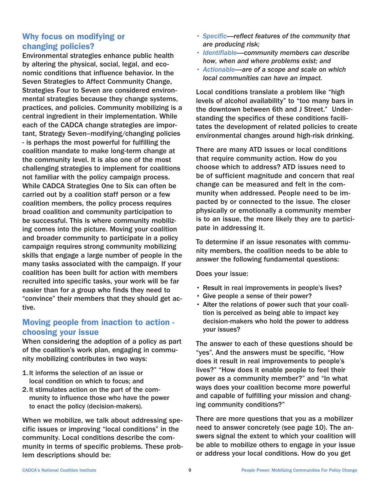# Why focus on modifying or changing policies?

Environmental strategies enhance public health by altering the physical, social, legal, and economic conditions that influence behavior. In the Seven Strategies to Affect Community Change, Strategies Four to Seven are considered environmental strategies because they change systems, practices, and policies. Community mobilizing is a central ingredient in their implementation. While each of the CADCA change strategies are important, Strategy Seven–modifying/changing policies - is perhaps the most powerful for fulfilling the coalition mandate to make long-term change at the community level. It is also one of the most challenging strategies to implement for coalitions not familiar with the policy campaign process. While CADCA Strategies One to Six can often be carried out by a coalition staff person or a few coalition members, the policy process requires broad coalition and community participation to be successful. This is where community mobilizing comes into the picture. Moving your coalition and broader community to participate in a policy campaign requires strong community mobilizing skills that engage a large number of people in the many tasks associated with the campaign. If your coalition has been built for action with members recruited into specific tasks, your work will be far easier than for a group who finds they need to "convince" their members that they should get active.

# Moving people from inaction to action choosing your issue

When considering the adoption of a policy as part of the coalition's work plan, engaging in community mobilizing contributes in two ways:

- 1.It informs the selection of an issue or local condition on which to focus; and
- 2.It stimulates action on the part of the community to influence those who have the power to enact the policy (decision-makers).

When we mobilize, we talk about addressing specific issues or improving "local conditions" in the community. Local conditions describe the community in terms of specific problems. These problem descriptions should be:

- *Specific—reflect features of the community that are producing risk;*
- *Identifiable—community members can describe how, when and where problems exist; and*
- *Actionable—are of a scope and scale on which local communities can have an impact.*

Local conditions translate a problem like "high levels of alcohol availability" to "too many bars in the downtown between 6th and J Street." Understanding the specifics of these conditions facilitates the development of related policies to create environmental changes around high-risk drinking.

There are many ATD issues or local conditions that require community action. How do you choose which to address? ATD issues need to be of sufficient magnitude and concern that real change can be measured and felt in the community when addressed. People need to be impacted by or connected to the issue. The closer physically or emotionally a community member is to an issue, the more likely they are to participate in addressing it.

To determine if an issue resonates with community members, the coalition needs to be able to answer the following fundamental questions:

Does your issue:

- Result in real improvements in people's lives?
- Give people a sense of their power?
- Alter the relations of power such that your coalition is perceived as being able to impact key decision-makers who hold the power to address your issues?

The answer to each of these questions should be "yes". And the answers must be specific, "How does it result in real improvements to people's lives?" "How does it enable people to feel their power as a community member?" and "In what ways does your coalition become more powerful and capable of fulfilling your mission and changing community conditions?"

There are more questions that you as a mobilizer need to answer concretely (see page 10). The answers signal the extent to which your coalition will be able to mobilize others to engage in your issue or address your local conditions. How do you get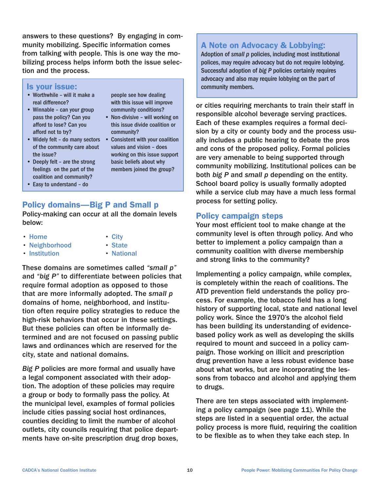answers to these questions? By engaging in community mobilizing. Specific information comes from talking with people. This is one way the mobilizing process helps inform both the issue selection and the process.

> people see how dealing with this issue will improve community conditions? • Non-divisive – will working on this issue divide coalition or

• Consistent with your coalition values and vision – does working on this issue support basic beliefs about why members joined the group?

community?

#### Is your issue:

- Worthwhile will it make a real difference?
- Winnable can your group pass the policy? Can you afford to lose? Can you afford not to try?
- Widely felt do many sectors of the community care about the issue?
- Deeply felt are the strong feelings on the part of the coalition and community?
- Easy to understand do

# Policy domains—Big P and Small p

Policy-making can occur at all the domain levels below:

• Home

- City
- Neighborhood

• Institution

- State
	- National

These domains are sometimes called *"small p"* and *"big P"* to differentiate between policies that require formal adoption as opposed to those that are more informally adopted. The *small p* domains of home, neighborhood, and institution often require policy strategies to reduce the high-risk behaviors that occur in these settings. But these policies can often be informally determined and are not focused on passing public laws and ordinances which are reserved for the city, state and national domains.

*Big P* policies are more formal and usually have a legal component associated with their adoption. The adoption of these policies may require a group or body to formally pass the policy. At the municipal level, examples of formal policies include cities passing social host ordinances, counties deciding to limit the number of alcohol outlets, city councils requiring that police departments have on-site prescription drug drop boxes,

# A Note on Advocacy & Lobbying:

Adoption of *small p* policies, including most institutional polices, may require advocacy but do not require lobbying. Successful adoption of *big P* policies certainly requires advocacy and also may require lobbying on the part of community members.

or cities requiring merchants to train their staff in responsible alcohol beverage serving practices. Each of these examples requires a formal decision by a city or county body and the process usually includes a public hearing to debate the pros and cons of the proposed policy. Formal policies are very amenable to being supported through community mobilizing. Institutional polices can be both *big P* and *small p* depending on the entity. School board policy is usually formally adopted while a service club may have a much less formal process for setting policy.

### Policy campaign steps

Your most efficient tool to make change at the community level is often through policy. And who better to implement a policy campaign than a community coalition with diverse membership and strong links to the community?

Implementing a policy campaign, while complex, is completely within the reach of coalitions. The ATD prevention field understands the policy process. For example, the tobacco field has a long history of supporting local, state and national level policy work. Since the 1970's the alcohol field has been building its understanding of evidencebased policy work as well as developing the skills required to mount and succeed in a policy campaign. Those working on illicit and prescription drug prevention have a less robust evidence base about what works, but are incorporating the lessons from tobacco and alcohol and applying them to drugs.

There are ten steps associated with implementing a policy campaign (see page 11). While the steps are listed in a sequential order, the actual policy process is more fluid, requiring the coalition to be flexible as to when they take each step. In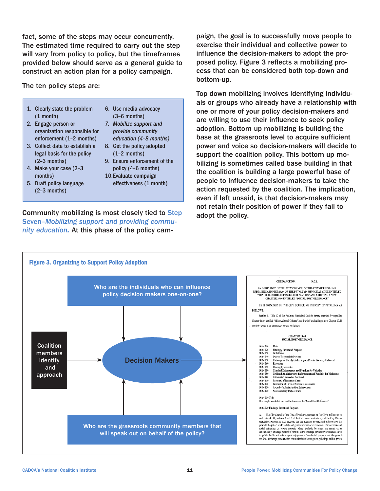fact, some of the steps may occur concurrently. The estimated time required to carry out the step will vary from policy to policy, but the timeframes provided below should serve as a general guide to construct an action plan for a policy campaign.

The ten policy steps are:

- 1. Clearly state the problem (1 month)
- 2. Engage person or organization responsible for enforcement (1–2 months)
- 3. Collect data to establish a legal basis for the policy (2–3 months)
- 4. Make your case (2–3 months)
- 5. Draft policy language (2–3 months)
- 6. Use media advocacy (3–6 months)
- *7. Mobilize support and provide community education (4–8 months)*
- 8. Get the policy adopted (1–2 months)
- 9. Ensure enforcement of the policy (4–6 months)
- 10.Evaluate campaign effectiveness (1 month)

Community mobilizing is most closely tied to Step Seven–*Mobilizing support and providing community education.* At this phase of the policy campaign, the goal is to successfully move people to exercise their individual and collective power to influence the decision-makers to adopt the proposed policy. Figure 3 reflects a mobilizing process that can be considered both top-down and bottom-up.

Top down mobilizing involves identifying individuals or groups who already have a relationship with one or more of your policy decision-makers and are willing to use their influence to seek policy adoption. Bottom up mobilizing is building the base at the grassroots level to acquire sufficient power and voice so decision-makers will decide to support the coalition policy. This bottom up mobilizing is sometimes called base building in that the coalition is building a large powerful base of people to influence decision-makers to take the action requested by the coalition. The implication, even if left unsaid, is that decision-makers may not retain their position of power if they fail to adopt the policy.

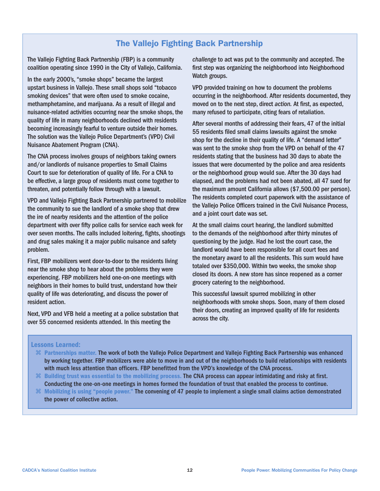# The Vallejo Fighting Back Partnership

The Vallejo Fighting Back Partnership (FBP) is a community coalition operating since 1990 in the City of Vallejo, California.

In the early 2000's, "smoke shops" became the largest upstart business in Vallejo. These small shops sold "tobacco smoking devices" that were often used to smoke cocaine, methamphetamine, and marijuana. As a result of illegal and nuisance-related activities occurring near the smoke shops, the quality of life in many neighborhoods declined with residents becoming increasingly fearful to venture outside their homes. The solution was the Vallejo Police Department's (VPD) Civil Nuisance Abatement Program (CNA).

The CNA process involves groups of neighbors taking owners and/or landlords of nuisance properties to Small Claims Court to sue for deterioration of quality of life. For a CNA to be effective, a large group of residents must come together to threaten, and potentially follow through with a lawsuit.

VPD and Vallejo Fighting Back Partnership partnered to mobilize the community to sue the landlord of a smoke shop that drew the ire of nearby residents and the attention of the police department with over fifty police calls for service each week for over seven months. The calls included loitering, fights, shootings and drug sales making it a major public nuisance and safety problem.

First, FBP mobilizers went door-to-door to the residents living near the smoke shop to hear about the problems they were experiencing. FBP mobilizers held one-on-one meetings with neighbors in their homes to build trust, understand how their quality of life was deteriorating, and discuss the power of resident action.

Next, VPD and VFB held a meeting at a police substation that over 55 concerned residents attended. In this meeting the

*challenge* to act was put to the community and accepted. The first step was organizing the neighborhood into Neighborhood Watch groups.

VPD provided training on how to document the problems occurring in the neighborhood. After residents documented, they moved on to the next step, direct *action.* At first, as expected, many refused to participate, citing fears of retaliation.

After several months of addressing their fears, 47 of the initial 55 residents filed small claims lawsuits against the smoke shop for the decline in their quality of life. A "demand letter" was sent to the smoke shop from the VPD on behalf of the 47 residents stating that the business had 30 days to abate the issues that were documented by the police and area residents or the neighborhood group would sue. After the 30 days had elapsed, and the problems had not been abated, all 47 sued for the maximum amount California allows (\$7,500.00 per person). The residents completed court paperwork with the assistance of the Vallejo Police Officers trained in the Civil Nuisance Process, and a joint court date was set.

At the small claims court hearing, the landlord submitted to the demands of the neighborhood after thirty minutes of questioning by the judge. Had he lost the court case, the landlord would have been responsible for all court fees and the monetary award to all the residents. This sum would have totaled over \$350,000. Within two weeks, the smoke shop closed its doors. A new store has since reopened as a corner grocery catering to the neighborhood.

This successful lawsuit spurred mobilizing in other neighborhoods with smoke shops. Soon, many of them closed their doors, creating an improved quality of life for residents across the city.

#### Lessons Learned:

- Partnerships matter. The work of both the Vallejo Police Department and Vallejo Fighting Back Partnership was enhanced by working together. FBP mobilizers were able to move in and out of the neighborhoods to build relationships with residents with much less attention than officers. FBP benefitted from the VPD's knowledge of the CNA process.
- $\mathcal B$  Building trust was essential to the mobilizing process. The CNA process can appear intimidating and risky at first. Conducting the one-on-one meetings in homes formed the foundation of trust that enabled the process to continue.
- Mobilizing is using "people power." The convening of 47 people to implement a single small claims action demonstrated the power of collective action.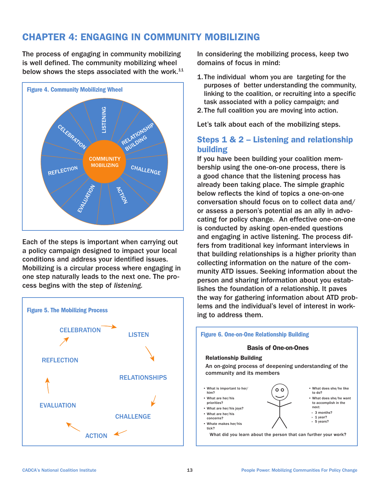# CHAPTER 4: ENGAGING IN COMMUNITY MOBILIZING

The process of engaging in community mobilizing is well defined. The community mobilizing wheel below shows the steps associated with the work.<sup>11</sup>



Each of the steps is important when carrying out a policy campaign designed to impact your local conditions and address your identified issues. Mobilizing is a circular process where engaging in one step naturally leads to the next one. The process begins with the step of *listening.*



In considering the mobilizing process, keep two domains of focus in mind:

- 1.The individual whom you are targeting for the purposes of better understanding the community, linking to the coalition, or recruiting into a specific task associated with a policy campaign; and
- 2.The full coalition you are moving into action.

Let's talk about each of the mobilizing steps.

# Steps 1 & 2 – Listening and relationship building

If you have been building your coalition membership using the one-on-one process, there is a good chance that the listening process has already been taking place. The simple graphic below reflects the kind of topics a one-on-one conversation should focus on to collect data and/ or assess a person's potential as an ally in advocating for policy change. An effective one-on-one is conducted by asking open-ended questions and engaging in active listening. The process differs from traditional key informant interviews in that building relationships is a higher priority than collecting information on the nature of the community ATD issues. Seeking information about the person and sharing information about you establishes the foundation of a relationship. It paves the way for gathering information about ATD problems and the individual's level of interest in working to address them.

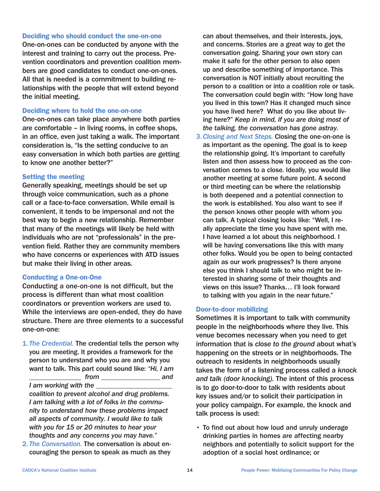#### Deciding who should conduct the one-on-one

One-on-ones can be conducted by anyone with the interest and training to carry out the process. Prevention coordinators and prevention coalition members are good candidates to conduct one-on-ones. All that is needed is a commitment to building relationships with the people that will extend beyond the initial meeting.

#### Deciding where to hold the one-on-one

One-on-ones can take place anywhere both parties are comfortable – in living rooms, in coffee shops, in an office, even just taking a walk. The important consideration is, "Is the setting conducive to an easy conversation in which both parties are getting to know one another better?"

#### Setting the meeting

Generally speaking, meetings should be set up through voice communication, such as a phone call or a face-to-face conversation. While email is convenient, it tends to be impersonal and not the best way to begin a new relationship. Remember that many of the meetings will likely be held with individuals who are not "professionals" in the prevention field. Rather they are community members who have concerns or experiences with ATD issues but make their living in other areas.

#### Conducting a One-on-One

Conducting a one-on-one is not difficult, but the process is different than what most coalition coordinators or prevention workers are used to. While the interviews are open-ended, they do have structure. There are three elements to a successful one-on-one:

1.*The Credential.* The credential tells the person why you are meeting. It provides a framework for the person to understand who you are and why you want to talk. This part could sound like: *"Hi, I am \_\_\_\_\_\_\_\_\_\_\_\_\_\_\_ from \_\_\_\_\_\_\_\_\_\_\_\_\_\_\_\_\_ and* 

*I* am working with the

*coalition to prevent alcohol and drug problems. I am talking with a lot of folks in the community to understand how these problems impact all aspects of community. I would like to talk with you for 15 or 20 minutes to hear your thoughts and any concerns you may have."*

2. *The Conversation.* The conversation is about encouraging the person to speak as much as they

can about themselves, and their interests, joys, and concerns. Stories are a great way to get the conversation going. Sharing your own story can make it safe for the other person to also open up and describe something of importance. This conversation is NOT initially about recruiting the person to a coalition or into a coalition role or task. The conversation could begin with: "How long have you lived in this town? Has it changed much since you have lived here? What do you like about living here?" *Keep in mind, if you are doing most of the talking, the conversation has gone astray.*

3.*Closing and Next Steps.* Closing the one-on-one is as important as the opening. The goal is to keep the relationship going. It's important to carefully listen and then assess how to proceed as the conversation comes to a close. Ideally, you would like another meeting at some future point. A second or third meeting can be where the relationship is both deepened and a potential connection to the work is established. You also want to see if the person knows other people with whom you can talk. A typical closing looks like: "Well, I really appreciate the time you have spent with me. I have learned a lot about this neighborhood. I will be having conversations like this with many other folks. Would you be open to being contacted again as our work progresses? Is there anyone else you think I should talk to who might be interested in sharing some of their thoughts and views on this issue? Thanks… I'll look forward to talking with you again in the near future."

#### Door-to-door mobilizing

Sometimes it is important to talk with community people in the neighborhoods where they live. This venue becomes necessary when you need to get information that is *close to the ground* about what's happening on the streets or in neighborhoods. The outreach to residents in neighborhoods usually takes the form of a listening process called a *knock and talk (door knocking).* The intent of this process is to go door-to-door to talk with residents about key issues and/or to solicit their participation in your policy campaign. For example, the knock and talk process is used:

• To find out about how loud and unruly underage drinking parties in homes are affecting nearby neighbors and potentially to solicit support for the adoption of a social host ordinance; or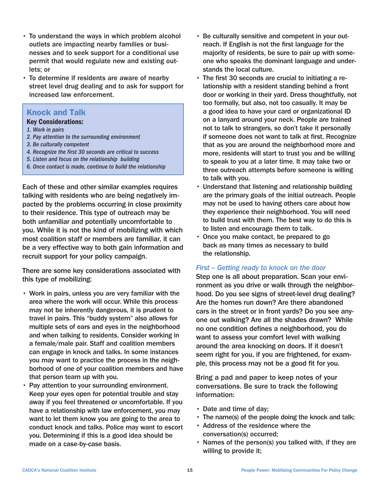- To understand the ways in which problem alcohol outlets are impacting nearby families or businesses and to seek support for a conditional use permit that would regulate new and existing outlets; or
- To determine if residents are aware of nearby street level drug dealing and to ask for support for increased law enforcement.

#### Knock and Talk

#### Key Considerations:

- *1. Work in pairs*
- *2. Pay attention to the surrounding environment*
- *3. Be culturally competent*
- *4. Recognize the first 30 seconds are critical to success*
- *5. Listen and focus on the relationship building*
- *6. Once contact is made, continue to build the relationship*

Each of these and other similar examples requires talking with residents who are being negatively impacted by the problems occurring in close proximity to their residence. This type of outreach may be both unfamiliar and potentially uncomfortable to you. While it is not the kind of mobilizing with which most coalition staff or members are familiar, it can be a very effective way to both gain information and recruit support for your policy campaign.

There are some key considerations associated with this type of mobilizing:

- Work in pairs, unless you are very familiar with the area where the work will occur. While this process may not be inherently dangerous, it is prudent to travel in pairs. This "buddy system" also allows for multiple sets of ears and eyes in the neighborhood and when talking to residents. Consider working in a female/male pair. Staff and coalition members can engage in knock and talks. In some instances you may want to practice the process in the neighborhood of one of your coalition members and have that person team up with you.
- Pay attention to your surrounding environment. Keep your eyes open for potential trouble and stay away if you feel threatened or uncomfortable. If you have a relationship with law enforcement, you may want to let them know you are going to the area to conduct knock and talks. Police may want to escort you. Determining if this is a good idea should be made on a case-by-case basis.
- Be culturally sensitive and competent in your outreach. If English is not the first language for the majority of residents, be sure to pair up with someone who speaks the dominant language and understands the local culture.
- The first 30 seconds are crucial to initiating a relationship with a resident standing behind a front door or working in their yard. Dress thoughtfully, not too formally, but also, not too casually. It may be a good idea to have your card or organizational ID on a lanyard around your neck. People are trained not to talk to strangers, so don't take it personally if someone does not want to talk at first. Recognize that as you are around the neighborhood more and more, residents will start to trust you and be willing to speak to you at a later time. It may take two or three outreach attempts before someone is willing to talk with you.
- Understand that listening and relationship building are the primary goals of the initial outreach. People may not be used to having others care about how they experience their neighborhood. You will need to build trust with them. The best way to do this is to listen and encourage them to talk.
- Once you make contact, be prepared to go back as many times as necessary to build the relationship.

#### *First – Getting ready to knock on the door*

Step one is all about preparation. Scan your environment as you drive or walk through the neighborhood. Do you see signs of street-level drug dealing? Are the homes run down? Are there abandoned cars in the street or in front yards? Do you see anyone out walking? Are all the shades drawn? While no one condition defines a neighborhood, you do want to assess your comfort level with walking around the area knocking on doors. If it doesn't seem right for you, if you are frightened, for example, this process may not be a good fit for you.

Bring a pad and paper to keep notes of your conversations. Be sure to track the following information:

- Date and time of day;
- The name(s) of the people doing the knock and talk;
- Address of the residence where the conversation(s) occurred;
- Names of the person(s) you talked with, if they are willing to provide it;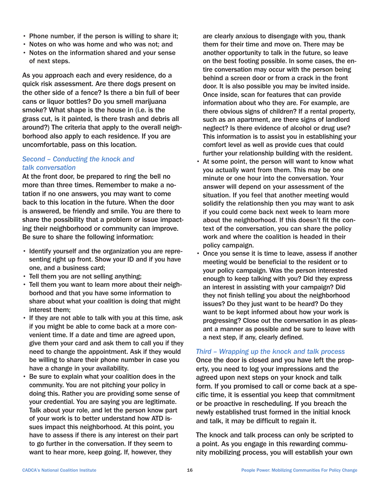- Phone number, if the person is willing to share it;
- Notes on who was home and who was not; and
- Notes on the information shared and your sense of next steps.

As you approach each and every residence, do a quick risk assessment. Are there dogs present on the other side of a fence? Is there a bin full of beer cans or liquor bottles? Do you smell marijuana smoke? What shape is the house in (i.e. is the grass cut, is it painted, is there trash and debris all around?) The criteria that apply to the overall neighborhood also apply to each residence. If you are uncomfortable, pass on this location.

#### *Second – Conducting the knock and talk conversation*

At the front door, be prepared to ring the bell no more than three times. Remember to make a notation if no one answers, you may want to come back to this location in the future. When the door is answered, be friendly and smile. You are there to share the possibility that a problem or issue impacting their neighborhood or community can improve. Be sure to share the following information:

- Identify yourself and the organization you are representing right up front. Show your ID and if you have one, and a business card;
- Tell them you are not selling anything;
- Tell them you want to learn more about their neighborhood and that you have some information to share about what your coalition is doing that might interest them;
- If they are not able to talk with you at this time, ask if you might be able to come back at a more convenient time. If a date and time are agreed upon, give them your card and ask them to call you if they need to change the appointment. Ask if they would be willing to share their phone number in case you have a change in your availability.
- Be sure to explain what your coalition does in the community. You are not pitching your policy in doing this. Rather you are providing some sense of your credential. You are saying you are legitimate. Talk about your role, and let the person know part of your work is to better understand how ATD issues impact this neighborhood. At this point, you have to assess if there is any interest on their part to go further in the conversation. If they seem to want to hear more, keep going. If, however, they

are clearly anxious to disengage with you, thank them for their time and move on. There may be another opportunity to talk in the future, so leave on the best footing possible. In some cases, the entire conversation may occur with the person being behind a screen door or from a crack in the front door. It is also possible you may be invited inside. Once inside, scan for features that can provide information about who they are. For example, are there obvious signs of children? If a rental property, such as an apartment, are there signs of landlord neglect? Is there evidence of alcohol or drug use? This information is to assist you in establishing your comfort level as well as provide cues that could further your relationship building with the resident.

- At some point, the person will want to know what you actually want from them. This may be one minute or one hour into the conversation. Your answer will depend on your assessment of the situation. If you feel that another meeting would solidify the relationship then you may want to ask if you could come back next week to learn more about the neighborhood. If this doesn't fit the context of the conversation, you can share the policy work and where the coalition is headed in their policy campaign.
- Once you sense it is time to leave, assess if another meeting would be beneficial to the resident or to your policy campaign. Was the person interested enough to keep talking with you? Did they express an interest in assisting with your campaign? Did they not finish telling you about the neighborhood issues? Do they just want to be heard? Do they want to be kept informed about how your work is progressing? Close out the conversation in as pleasant a manner as possible and be sure to leave with a next step, if any, clearly defined.

#### *Third – Wrapping up the knock and talk process*

Once the door is closed and you have left the property, you need to log your impressions and the agreed upon next steps on your knock and talk form. If you promised to call or come back at a specific time, it is essential you keep that commitment or be proactive in rescheduling. If you breach the newly established trust formed in the initial knock and talk, it may be difficult to regain it.

The knock and talk process can only be scripted to a point. As you engage in this rewarding community mobilizing process, you will establish your own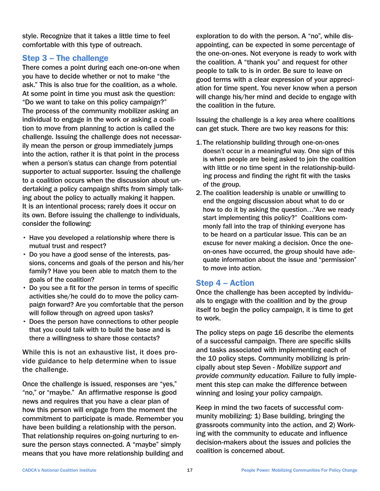style. Recognize that it takes a little time to feel comfortable with this type of outreach.

### Step 3 – The challenge

There comes a point during each one-on-one when you have to decide whether or not to make "the ask." This is also true for the coalition, as a whole. At some point in time you must ask the question: "Do we want to take on this policy campaign?" The process of the community mobilizer asking an individual to engage in the work or asking a coalition to move from planning to action is called the challenge. Issuing the challenge does not necessarily mean the person or group immediately jumps into the action, rather it is that point in the process when a person's status can change from potential supporter to actual supporter. Issuing the challenge to a coalition occurs when the discussion about undertaking a policy campaign shifts from simply talking about the policy to actually making it happen. It is an intentional process; rarely does it occur on its own. Before issuing the challenge to individuals, consider the following:

- Have you developed a relationship where there is mutual trust and respect?
- Do you have a good sense of the interests, passions, concerns and goals of the person and his/her family? Have you been able to match them to the goals of the coalition?
- Do you see a fit for the person in terms of specific activities she/he could do to move the policy campaign forward? Are you comfortable that the person will follow through on agreed upon tasks?
- Does the person have connections to other people that you could talk with to build the base and is there a willingness to share those contacts?

While this is not an exhaustive list, it does provide guidance to help determine when to issue the challenge.

Once the challenge is issued, responses are "yes," "no," or "maybe." An affirmative response is good news and requires that you have a clear plan of how this person will engage from the moment the commitment to participate is made. Remember you have been building a relationship with the person. That relationship requires on-going nurturing to ensure the person stays connected. A "maybe" simply means that you have more relationship building and exploration to do with the person. A "no", while disappointing, can be expected in some percentage of the one-on-ones. Not everyone is ready to work with the coalition. A "thank you" and request for other people to talk to is in order. Be sure to leave on good terms with a clear expression of your appreciation for time spent. You never know when a person will change his/her mind and decide to engage with the coalition in the future.

Issuing the challenge is a key area where coalitions can get stuck. There are two key reasons for this:

- 1.The relationship building through one-on-ones doesn't occur in a meaningful way. One sign of this is when people are being asked to join the coalition with little or no time spent in the relationship-building process and finding the right fit with the tasks of the group.
- 2. The coalition leadership is unable or unwilling to end the ongoing discussion about what to do or how to do it by asking the question…"Are we ready start implementing this policy?" Coalitions commonly fall into the trap of thinking everyone has to be heard on a particular issue. This can be an excuse for never making a decision. Once the oneon-ones have occurred, the group should have adequate information about the issue and "permission" to move into action.

### Step 4 – Action

Once the challenge has been accepted by individuals to engage with the coalition and by the group itself to begin the policy campaign, it is time to get to work.

The policy steps on page 16 describe the elements of a successful campaign. There are specific skills and tasks associated with implementing each of the 10 policy steps. Community mobilizing is principally about step Seven - *Mobilize support and provide community education.* Failure to fully implement this step can make the difference between winning and losing your policy campaign.

Keep in mind the two facets of successful community mobilizing: 1) Base building, bringing the grassroots community into the action, and 2) Working with the community to educate and influence decision-makers about the issues and policies the coalition is concerned about.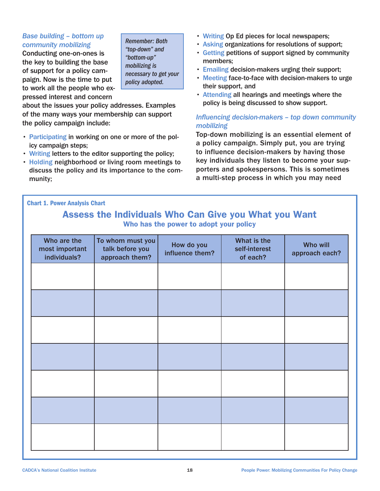#### *Base building – bottom up community mobilizing*

Conducting one-on-ones is the key to building the base of support for a policy campaign. Now is the time to put to work all the people who expressed interest and concern

*Remember: Both "top-down" and "bottom-up" mobilizing is necessary to get your policy adopted.*

about the issues your policy addresses. Examples of the many ways your membership can support the policy campaign include:

- Participating in working on one or more of the policy campaign steps;
- Writing letters to the editor supporting the policy;
- Holding neighborhood or living room meetings to discuss the policy and its importance to the community;
- Writing Op Ed pieces for local newspapers;
- Asking organizations for resolutions of support;
- Getting petitions of support signed by community members;
- Emailing decision-makers urging their support;
- Meeting face-to-face with decision-makers to urge their support, and
- Attending all hearings and meetings where the policy is being discussed to show support.

#### *Influencing decision-makers – top down community mobilizing*

Top-down mobilizing is an essential element of a policy campaign. Simply put, you are trying to influence decision-makers by having those key individuals they listen to become your supporters and spokespersons. This is sometimes a multi-step process in which you may need

Chart 1. Power Analysis Chart

# Assess the Individuals Who Can Give you What you Want Who has the power to adopt your policy

| Who are the<br>most important<br>individuals? | To whom must you<br>talk before you<br>approach them? | How do you<br>influence them? | What is the<br>self-interest<br>of each? | Who will<br>approach each? |
|-----------------------------------------------|-------------------------------------------------------|-------------------------------|------------------------------------------|----------------------------|
|                                               |                                                       |                               |                                          |                            |
|                                               |                                                       |                               |                                          |                            |
|                                               |                                                       |                               |                                          |                            |
|                                               |                                                       |                               |                                          |                            |
|                                               |                                                       |                               |                                          |                            |
|                                               |                                                       |                               |                                          |                            |
|                                               |                                                       |                               |                                          |                            |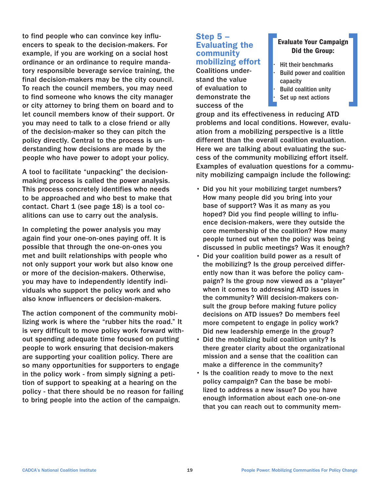to find people who can convince key influencers to speak to the decision-makers. For example, if you are working on a social host ordinance or an ordinance to require mandatory responsible beverage service training, the final decision-makers may be the city council. To reach the council members, you may need to find someone who knows the city manager or city attorney to bring them on board and to let council members know of their support. Or you may need to talk to a close friend or ally of the decision-maker so they can pitch the policy directly. Central to the process is understanding how decisions are made by the people who have power to adopt your policy.

A tool to facilitate "unpacking" the decisionmaking process is called the power analysis. This process concretely identifies who needs to be approached and who best to make that contact. Chart 1 (see page 18) is a tool coalitions can use to carry out the analysis.

In completing the power analysis you may again find your one-on-ones paying off. It is possible that through the one-on-ones you met and built relationships with people who not only support your work but also know one or more of the decision-makers. Otherwise, you may have to independently identify individuals who support the policy work and who also know influencers or decision-makers.

The action component of the community mobilizing work is where the "rubber hits the road." It is very difficult to move policy work forward without spending adequate time focused on putting people to work ensuring that decision-makers are supporting your coalition policy. There are so many opportunities for supporters to engage in the policy work - from simply signing a petition of support to speaking at a hearing on the policy - that there should be no reason for failing to bring people into the action of the campaign.

#### Step 5 – Evaluating the community mobilizing effort

Coalitions understand the value of evaluation to demonstrate the success of the

### Evaluate Your Campaign Did the Group:

- Hit their benchmarks
- **Build power and coalition** capacity
- **Build coalition unity**
- Set up next actions

group and its effectiveness in reducing ATD problems and local conditions. However, evaluation from a mobilizing perspective is a little different than the overall coalition evaluation. Here we are talking about evaluating the success of the community mobilizing effort itself. Examples of evaluation questions for a community mobilizing campaign include the following:

- Did you hit your mobilizing target numbers? How many people did you bring into your base of support? Was it as many as you hoped? Did you find people willing to influence decision-makers, were they outside the core membership of the coalition? How many people turned out when the policy was being discussed in public meetings? Was it enough?
- Did your coalition build power as a result of the mobilizing? Is the group perceived differently now than it was before the policy campaign? Is the group now viewed as a "player" when it comes to addressing ATD issues in the community? Will decision-makers consult the group before making future policy decisions on ATD issues? Do members feel more competent to engage in policy work? Did new leadership emerge in the group?
- Did the mobilizing build coalition unity? Is there greater clarity about the organizational mission and a sense that the coalition can make a difference in the community?
- Is the coalition ready to move to the next policy campaign? Can the base be mobilized to address a new issue? Do you have enough information about each one-on-one that you can reach out to community mem-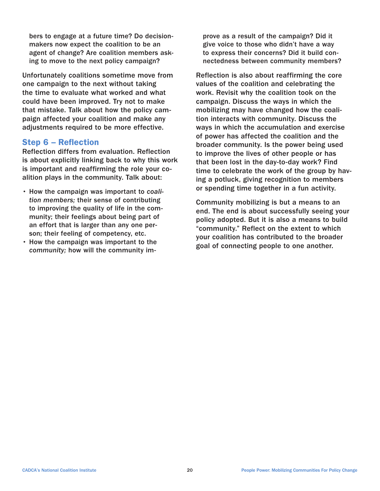bers to engage at a future time? Do decisionmakers now expect the coalition to be an agent of change? Are coalition members asking to move to the next policy campaign?

Unfortunately coalitions sometime move from one campaign to the next without taking the time to evaluate what worked and what could have been improved. Try not to make that mistake. Talk about how the policy campaign affected your coalition and make any adjustments required to be more effective.

### Step 6 – Reflection

Reflection differs from evaluation. Reflection is about explicitly linking back to why this work is important and reaffirming the role your coalition plays in the community. Talk about:

- How the campaign was important to *coalition members;* their sense of contributing to improving the quality of life in the community; their feelings about being part of an effort that is larger than any one person; their feeling of competency, etc.
- How the campaign was important to the *community;* how will the community im-

prove as a result of the campaign? Did it give voice to those who didn't have a way to express their concerns? Did it build connectedness between community members?

Reflection is also about reaffirming the core values of the coalition and celebrating the work. Revisit why the coalition took on the campaign. Discuss the ways in which the mobilizing may have changed how the coalition interacts with community. Discuss the ways in which the accumulation and exercise of power has affected the coalition and the broader community. Is the power being used to improve the lives of other people or has that been lost in the day-to-day work? Find time to celebrate the work of the group by having a potluck, giving recognition to members or spending time together in a fun activity.

Community mobilizing is but a means to an end. The end is about successfully seeing your policy adopted. But it is also a means to build "community." Reflect on the extent to which your coalition has contributed to the broader goal of connecting people to one another.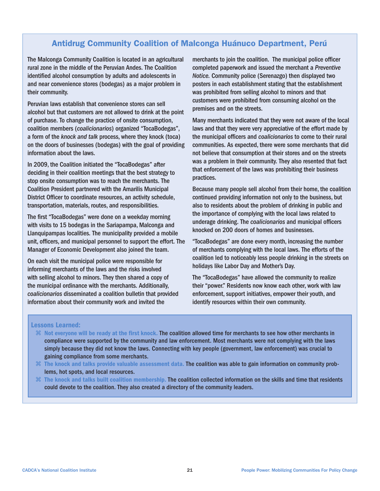# Antidrug Community Coalition of Malconga Huánuco Department, Perú

The Malconga Community Coalition is located in an agricultural rural zone in the middle of the Peruvian Andes. The Coalition identified alcohol consumption by adults and adolescents in and near convenience stores (bodegas) as a major problem in their community.

Peruvian laws establish that convenience stores can sell alcohol but that customers are not allowed to drink at the point of purchase. To change the practice of onsite consumption, coalition members (*coalicionarios*) organized "TocaBodegas", a form of the *knock and talk* process, where they knock (toca) on the doors of businesses (bodegas) with the goal of providing information about the laws.

In 2009, the Coalition initiated the "TocaBodegas" after deciding in their coalition meetings that the best strategy to stop onsite consumption was to reach the merchants. The Coalition President partnered with the Amarilis Municipal District Officer to coordinate resources, an activity schedule, transportation, materials, routes, and responsibilities.

The first "TocaBodegas" were done on a weekday morning with visits to 15 bodegas in the Sariapampa, Malconga and Llanquipampas localities. The municipality provided a mobile unit, officers, and municipal personnel to support the effort. The Manager of Economic Development also joined the team.

On each visit the municipal police were responsible for informing merchants of the laws and the risks involved with selling alcohol to minors. They then shared a copy of the municipal ordinance with the merchants. Additionally, *coalicionarios* disseminated a coalition bulletin that provided information about their community work and invited the

merchants to join the coalition. The municipal police officer completed paperwork and issued the merchant a *Preventive Notice.* Community police (Serenazgo) then displayed two posters in each establishment stating that the establishment was prohibited from selling alcohol to minors and that customers were prohibited from consuming alcohol on the premises and on the streets.

Many merchants indicated that they were not aware of the local laws and that they were very appreciative of the effort made by the municipal officers and *coalicionarios* to come to their rural communities. As expected, there were some merchants that did not believe that consumption at their stores and on the streets was a problem in their community. They also resented that fact that enforcement of the laws was prohibiting their business practices.

Because many people sell alcohol from their home, the coalition continued providing information not only to the business, but also to residents about the problem of drinking in public and the importance of complying with the local laws related to underage drinking. The *coalicionarios* and municipal officers knocked on 200 doors of homes and businesses.

"TocaBodegas" are done every month, increasing the number of merchants complying with the local laws. The efforts of the coalition led to noticeably less people drinking in the streets on holidays like Labor Day and Mother's Day.

The "TocaBodegas" have allowed the community to realize their "power." Residents now know each other, work with law enforcement, support initiatives, empower their youth, and identify resources within their own community.

#### Lessons Learned:

- Not everyone will be ready at the first knock. The coalition allowed time for merchants to see how other merchants in compliance were supported by the community and law enforcement. Most merchants were not complying with the laws simply because they did not know the laws. Connecting with key people (government, law enforcement) was crucial to gaining compliance from some merchants.
- The knock and talks provide valuable assessment data. The coalition was able to gain information on community problems, hot spots, and local resources.
- $\mathcal H$  The knock and talks built coalition membership. The coalition collected information on the skills and time that residents could devote to the coalition. They also created a directory of the community leaders.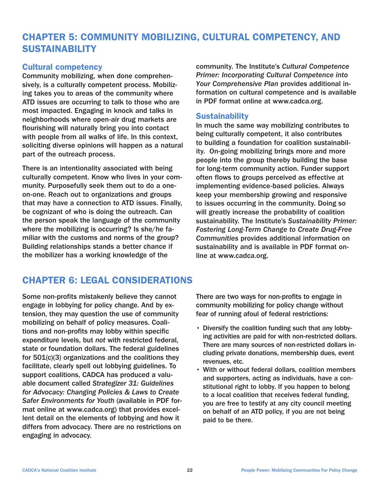# CHAPTER 5: COMMUNITY MOBILIZING, CULTURAL COMPETENCY, AND SUSTAINABILITY

# Cultural competency

Community mobilizing, when done comprehensively, is a culturally competent process. Mobilizing takes you to areas of the community where ATD issues are occurring to talk to those who are most impacted. Engaging in knock and talks in neighborhoods where open-air drug markets are flourishing will naturally bring you into contact with people from all walks of life. In this context, soliciting diverse opinions will happen as a natural part of the outreach process.

There is an intentionality associated with being culturally competent. Know who lives in your community. Purposefully seek them out to do a oneon-one. Reach out to organizations and groups that may have a connection to ATD issues. Finally, be cognizant of who is doing the outreach. Can the person speak the language of the community where the mobilizing is occurring? Is she/he familiar with the customs and norms of the group? Building relationships stands a better chance if the mobilizer has a working knowledge of the

community. The Institute's *Cultural Competence Primer: Incorporating Cultural Competence into Your Comprehensive Plan* provides additional information on cultural competence and is available in PDF format online at www.cadca.org.

### **Sustainability**

In much the same way mobilizing contributes to being culturally competent, it also contributes to building a foundation for coalition sustainability. On-going mobilizing brings more and more people into the group thereby building the base for long-term community action. Funder support often flows to groups perceived as effective at implementing evidence-based policies. Always keep your membership growing and responsive to issues occurring in the community. Doing so will greatly increase the probability of coalition sustainability. The Institute's *Sustainability Primer: Fostering Long-Term Change to Create Drug-Free Communities* provides additional information on sustainability and is available in PDF format online at www.cadca.org.

# CHAPTER 6: LEGAL CONSIDERATIONS

Some non-profits mistakenly believe they cannot engage in lobbying for policy change. And by extension, they may question the use of community mobilizing on behalf of policy measures. Coalitions and non-profits may lobby within specific expenditure levels, but *not* with restricted federal, state or foundation dollars. The federal guidelines for  $501(c)(3)$  organizations and the coalitions they facilitate, clearly spell out lobbying guidelines. To support coalitions, CADCA has produced a valuable document called *Strategizer 31: Guidelines for Advocacy: Changing Policies & Laws to Create Safer Environments for Youth* (available in PDF format online at www.cadca.org) that provides excellent detail on the elements of lobbying and how it differs from advocacy. There are no restrictions on engaging in advocacy.

There are two ways for non-profits to engage in community mobilizing for policy change without fear of running afoul of federal restrictions:

- Diversify the coalition funding such that any lobbying activities are paid for with non-restricted dollars. There are many sources of non-restricted dollars including private donations, membership dues, event revenues, etc.
- With or without federal dollars, coalition members and supporters, acting as individuals, have a constitutional right to lobby. If you happen to belong to a local coalition that receives federal funding, you are free to testify at any city council meeting on behalf of an ATD policy, if you are not being paid to be there.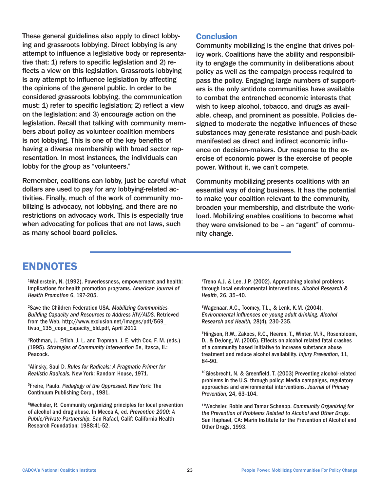These general guidelines also apply to direct lobbying and grassroots lobbying. Direct lobbying is any attempt to influence a legislative body or representative that: 1) refers to specific legislation and 2) reflects a view on this legislation. Grassroots lobbying is any attempt to influence legislation by affecting the opinions of the general public. In order to be considered grassroots lobbying, the communication must: 1) refer to specific legislation; 2) reflect a view on the legislation; and 3) encourage action on the legislation. Recall that talking with community members about policy as volunteer coalition members is not lobbying. This is one of the key benefits of having a diverse membership with broad sector representation. In most instances, the individuals can lobby for the group as "volunteers."

Remember, coalitions can lobby, just be careful what dollars are used to pay for any lobbying-related activities. Finally, much of the work of community mobilizing is advocacy, not lobbying, and there are no restrictions on advocacy work. This is especially true when advocating for polices that are not laws, such as many school board policies.

### **Conclusion**

Community mobilizing is the engine that drives policy work. Coalitions have the ability and responsibility to engage the community in deliberations about policy as well as the campaign process required to pass the policy. Engaging large numbers of supporters is the only antidote communities have available to combat the entrenched economic interests that wish to keep alcohol, tobacco, and drugs as available, cheap, and prominent as possible. Policies designed to moderate the negative influences of these substances may generate resistance and push-back manifested as direct and indirect economic influence on decision-makers. Our response to the exercise of economic power is the exercise of people power. Without it, we can't compete.

Community mobilizing presents coalitions with an essential way of doing business. It has the potential to make your coalition relevant to the community, broaden your membership, and distribute the workload. Mobilizing enables coalitions to become what they were envisioned to be – an "agent" of community change.

# ENDNOTES

<sup>1</sup>Wallerstein, N. (1992). Powerlessness, empowerment and health: Implications for health promotion programs. *American Journal of Health Promotion* 6, 197-205.

2 Save the Children Federation USA. *Mobilizing Communities-Building Capacity and Resources to Address HIV/AIDS.* Retrieved from the Web, http://www.exclusion.net/images/pdf/569\_ tivuo\_135\_cope\_capacity\_bld.pdf, April 2012

3 Rothman, J., Erlich, J. L. and Tropman, J. E. with Cox, F. M. (eds.) (1995). *Strategies of Community Intervention* 5e, Itasca, Il.: Peacock.

4 Alinsky, Saul D. *Rules for Radicals: A Pragmatic Primer for Realistic Radicals.* New York: Random House, 1971.

5 Freire, Paulo. *Pedagogy of the Oppressed.* New York: The Continuum Publishing Corp., 1981.

6 Wechsler, R. Community organizing principles for local prevention of alcohol and drug abuse. In Mecca A, ed. *Prevention 2000: A Public/Private Partnership.* San Rafael, Calif: California Health Research Foundation; 1988:41-52.

<sup>7</sup>Treno A.J. & Lee, J.P. (2002). Approaching alcohol problems through local environmental interventions. *Alcohol Research & Health,* 26, 35–40.

8 Wagenaar, A.C., Toomey, T.L., & Lenk, K.M. (2004). *Environmental influences on young adult drinking. Alcohol Research and Health,* 28(4), 230-235.

9 Hingson, R.W., Zakocs, R.C., Heeren, T., Winter, M.R., Rosenbloom, D., & DeJong, W. (2005). Effects on alcohol related fatal crashes of a community based initiative to increase substance abuse treatment and reduce alcohol availability. *Injury Prevention,* 11, 84-90.

<sup>10</sup>Giesbrecht, N. & Greenfield, T. (2003) Preventing alcohol-related problems in the U.S. through policy: Media campaigns, regulatory approaches and environmental interventions. *Journal of Primary Prevention,* 24, 63–104.

<sup>11</sup>Wechsler, Robin and Tamar Schnepp. *Community Organizing for the Prevention of Problems Related to Alcohol and Other Drugs.* San Raphael, CA: Marin Institute for the Prevention of Alcohol and Other Drugs, 1993.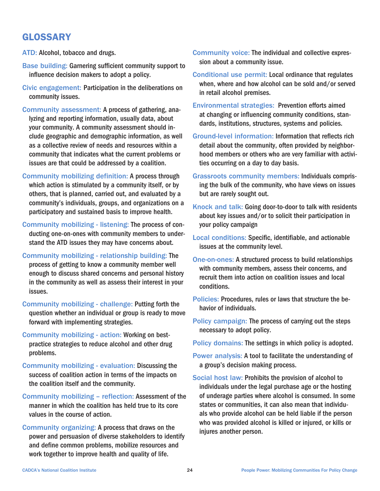# GLOSSARY

ATD: Alcohol, tobacco and drugs.

- Base building: Garnering sufficient community support to influence decision makers to adopt a policy.
- Civic engagement: Participation in the deliberations on community issues.
- Community assessment: A process of gathering, analyzing and reporting information, usually data, about your community. A community assessment should include geographic and demographic information, as well as a collective review of needs and resources within a community that indicates what the current problems or issues are that could be addressed by a coalition.
- Community mobilizing definition: A process through which action is stimulated by a community itself, or by others, that is planned, carried out, and evaluated by a community's individuals, groups, and organizations on a participatory and sustained basis to improve health.
- Community mobilizing listening: The process of conducting one-on-ones with community members to understand the ATD issues they may have concerns about.
- Community mobilizing relationship building: The process of getting to know a community member well enough to discuss shared concerns and personal history in the community as well as assess their interest in your issues.
- Community mobilizing challenge: Putting forth the question whether an individual or group is ready to move forward with implementing strategies.
- Community mobilizing action: Working on bestpractice strategies to reduce alcohol and other drug problems.
- Community mobilizing evaluation: Discussing the success of coalition action in terms of the impacts on the coalition itself and the community.
- Community mobilizing reflection: Assessment of the manner in which the coalition has held true to its core values in the course of action.
- Community organizing: A process that draws on the power and persuasion of diverse stakeholders to identify and define common problems, mobilize resources and work together to improve health and quality of life.
- Community voice: The individual and collective expression about a community issue.
- Conditional use permit: Local ordinance that regulates when, where and how alcohol can be sold and/or served in retail alcohol premises.
- Environmental strategies: Prevention efforts aimed at changing or influencing community conditions, standards, institutions, structures, systems and policies.
- Ground-level information: Information that reflects rich detail about the community, often provided by neighborhood members or others who are very familiar with activities occurring on a day to day basis.
- Grassroots community members: Individuals comprising the bulk of the community, who have views on issues but are rarely sought out.
- Knock and talk: Going door-to-door to talk with residents about key issues and/or to solicit their participation in your policy campaign
- Local conditions: Specific, identifiable, and actionable issues at the community level.
- One-on-ones: A structured process to build relationships with community members, assess their concerns, and recruit them into action on coalition issues and local conditions.
- Policies: Procedures, rules or laws that structure the behavior of individuals.
- Policy campaign: The process of carrying out the steps necessary to adopt policy.

Policy domains: The settings in which policy is adopted.

- Power analysis: A tool to facilitate the understanding of a group's decision making process.
- Social host law: Prohibits the provision of alcohol to individuals under the legal purchase age or the hosting of underage parties where alcohol is consumed. In some states or communities, it can also mean that individuals who provide alcohol can be held liable if the person who was provided alcohol is killed or injured, or kills or injures another person.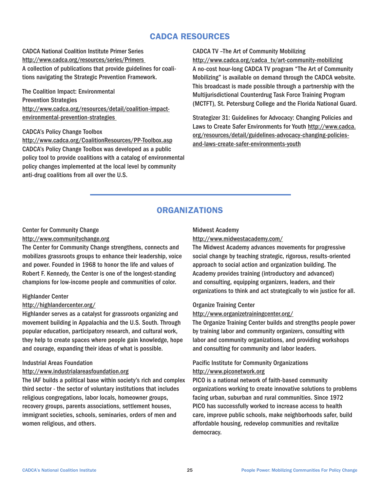# CADCA RESOURCES

CADCA National Coalition Institute Primer Series http://www.cadca.org/resources/series/Primers A collection of publications that provide guidelines for coalitions navigating the Strategic Prevention Framework.

The Coalition Impact: Environmental Prevention Strategies http://www.cadca.org/resources/detail/coalition-impactenvironmental-prevention-strategies

#### CADCA's Policy Change Toolbox

http://www.cadca.org/CoalitionResources/PP-Toolbox.asp CADCA's Policy Change Toolbox was developed as a public policy tool to provide coalitions with a catalog of environmental policy changes implemented at the local level by community anti-drug coalitions from all over the U.S.

#### CADCA TV –The Art of Community Mobilizing

http://www.cadca.org/cadca\_tv/art-community-mobilizing A no-cost hour-long CADCA TV program "The Art of Community Mobilizing" is available on demand through the CADCA website. This broadcast is made possible through a partnership with the Multijurisdictional Counterdrug Task Force Training Program (MCTFT), St. Petersburg College and the Florida National Guard.

Strategizer 31: Guidelines for Advocacy: Changing Policies and Laws to Create Safer Environments for Youth http://www.cadca. org/resources/detail/guidelines-advocacy-changing-policiesand-laws-create-safer-environments-youth

#### ORGANIZATIONS

#### Center for Community Change

#### http://www.communitychange.org

The Center for Community Change strengthens, connects and mobilizes grassroots groups to enhance their leadership, voice and power. Founded in 1968 to honor the life and values of Robert F. Kennedy, the Center is one of the longest-standing champions for low-income people and communities of color.

#### Highlander Center

#### http://highlandercenter.org/

Highlander serves as a catalyst for grassroots organizing and movement building in Appalachia and the U.S. South. Through popular education, participatory research, and cultural work, they help to create spaces where people gain knowledge, hope and courage, expanding their ideas of what is possible.

#### Industrial Areas Foundation

#### http://www.industrialareasfoundation.org

The IAF builds a political base within society's rich and complex third sector - the sector of voluntary institutions that includes religious congregations, labor locals, homeowner groups, recovery groups, parents associations, settlement houses, immigrant societies, schools, seminaries, orders of men and women religious, and others.

#### Midwest Academy

#### http://www.midwestacademy.com/

The Midwest Academy advances movements for progressive social change by teaching strategic, rigorous, results-oriented approach to social action and organization building. The Academy provides training (introductory and advanced) and consulting, equipping organizers, leaders, and their organizations to think and act strategically to win justice for all.

#### Organize Training Center

http://www.organizetrainingcenter.org/

The Organize Training Center builds and strengths people power by training labor and community organizers, consulting with labor and community organizations, and providing workshops and consulting for community and labor leaders.

#### Pacific Institute for Community Organizations http://www.piconetwork.org

PICO is a national network of faith-based community organizations working to create innovative solutions to problems facing urban, suburban and rural communities. Since 1972 PICO has successfully worked to increase access to health care, improve public schools, make neighborhoods safer, build affordable housing, redevelop communities and revitalize democracy.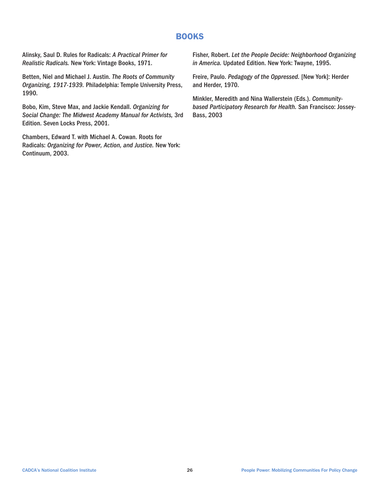### BOOKS

Alinsky, Saul D. Rules for Radicals: *A Practical Primer for Realistic Radicals.* New York: Vintage Books, 1971.

Betten, Niel and Michael J. Austin. *The Roots of Community Organizing, 1917-1939.* Philadelphia: Temple University Press, 1990.

Bobo, Kim, Steve Max, and Jackie Kendall. *Organizing for Social Change: The Midwest Academy Manual for Activists,* 3rd Edition. Seven Locks Press, 2001.

Chambers, Edward T. with Michael A. Cowan. Roots for Radicals: *Organizing for Power, Action, and Justice.* New York: Continuum, 2003.

Fisher, Robert. *Let the People Decide: Neighborhood Organizing in America.* Updated Edition. New York: Twayne, 1995.

Freire, Paulo. *Pedagogy of the Oppressed.* [New York]: Herder and Herder, 1970.

Minkler, Meredith and Nina Wallerstein (Eds.). *Communitybased Participatory Research for Health.* San Francisco: Jossey-Bass, 2003